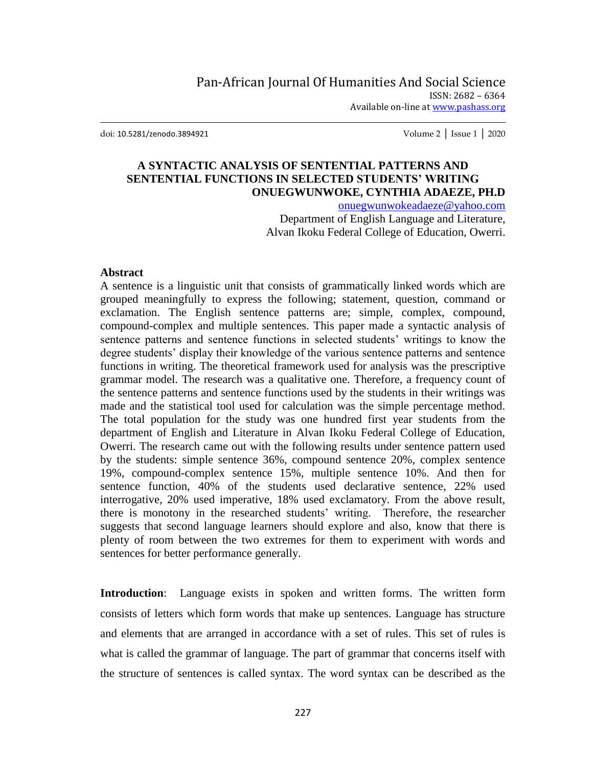doi: 10.5281/zenodo.3894921 Volume 2 │ Issue 1 │ 2020

## **A SYNTACTIC ANALYSIS OF SENTENTIAL PATTERNS AND SENTENTIAL FUNCTIONS IN SELECTED STUDENTS' WRITING ONUEGWUNWOKE, CYNTHIA ADAEZE, PH.D**

[onuegwunwokeadaeze@yahoo.com](mailto:onuegwunwokeadaeze@yahoo.com)

Department of English Language and Literature, Alvan Ikoku Federal College of Education, Owerri.

#### **Abstract**

A sentence is a linguistic unit that consists of grammatically linked words which are grouped meaningfully to express the following; statement, question, command or exclamation. The English sentence patterns are; simple, complex, compound, compound-complex and multiple sentences. This paper made a syntactic analysis of sentence patterns and sentence functions in selected students' writings to know the degree students' display their knowledge of the various sentence patterns and sentence functions in writing. The theoretical framework used for analysis was the prescriptive grammar model. The research was a qualitative one. Therefore, a frequency count of the sentence patterns and sentence functions used by the students in their writings was made and the statistical tool used for calculation was the simple percentage method. The total population for the study was one hundred first year students from the department of English and Literature in Alvan Ikoku Federal College of Education, Owerri. The research came out with the following results under sentence pattern used by the students: simple sentence 36%, compound sentence 20%, complex sentence 19%, compound-complex sentence 15%, multiple sentence 10%. And then for sentence function, 40% of the students used declarative sentence, 22% used interrogative, 20% used imperative, 18% used exclamatory. From the above result, there is monotony in the researched students" writing. Therefore, the researcher suggests that second language learners should explore and also, know that there is plenty of room between the two extremes for them to experiment with words and sentences for better performance generally.

**Introduction**: Language exists in spoken and written forms. The written form consists of letters which form words that make up sentences. Language has structure and elements that are arranged in accordance with a set of rules. This set of rules is what is called the grammar of language. The part of grammar that concerns itself with the structure of sentences is called syntax. The word syntax can be described as the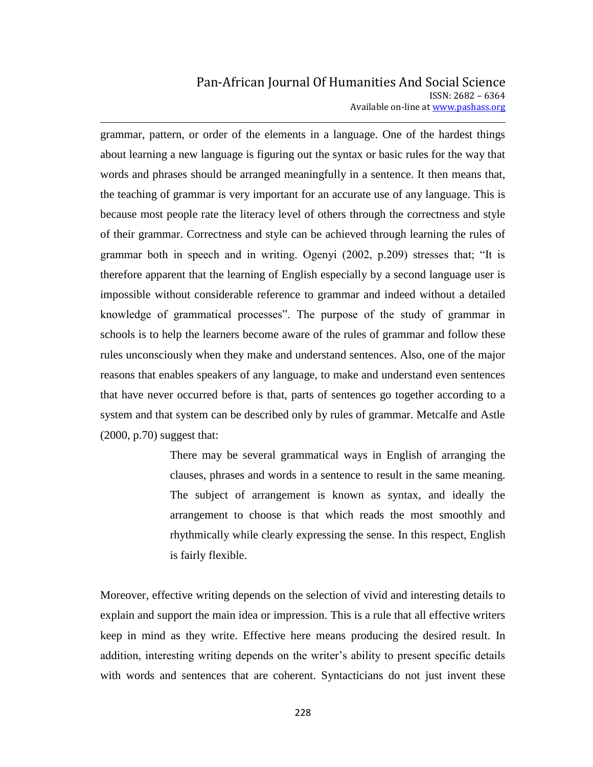# Pan-African Journal Of Humanities And Social Science ISSN: 2682 – 6364 Available on-line at www.pashass.org

grammar, pattern, or order of the elements in a language. One of the hardest things about learning a new language is figuring out the syntax or basic rules for the way that words and phrases should be arranged meaningfully in a sentence. It then means that, the teaching of grammar is very important for an accurate use of any language. This is because most people rate the literacy level of others through the correctness and style of their grammar. Correctness and style can be achieved through learning the rules of grammar both in speech and in writing. Ogenyi (2002, p.209) stresses that; "It is therefore apparent that the learning of English especially by a second language user is impossible without considerable reference to grammar and indeed without a detailed knowledge of grammatical processes". The purpose of the study of grammar in schools is to help the learners become aware of the rules of grammar and follow these rules unconsciously when they make and understand sentences. Also, one of the major reasons that enables speakers of any language, to make and understand even sentences that have never occurred before is that, parts of sentences go together according to a system and that system can be described only by rules of grammar. Metcalfe and Astle (2000, p.70) suggest that:

> There may be several grammatical ways in English of arranging the clauses, phrases and words in a sentence to result in the same meaning. The subject of arrangement is known as syntax, and ideally the arrangement to choose is that which reads the most smoothly and rhythmically while clearly expressing the sense. In this respect, English is fairly flexible.

Moreover, effective writing depends on the selection of vivid and interesting details to explain and support the main idea or impression. This is a rule that all effective writers keep in mind as they write. Effective here means producing the desired result. In addition, interesting writing depends on the writer"s ability to present specific details with words and sentences that are coherent. Syntacticians do not just invent these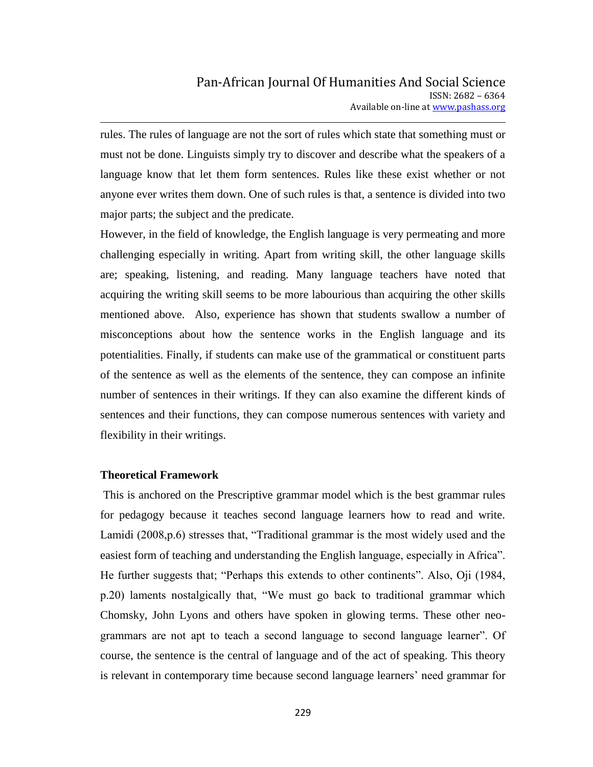rules. The rules of language are not the sort of rules which state that something must or must not be done. Linguists simply try to discover and describe what the speakers of a language know that let them form sentences. Rules like these exist whether or not anyone ever writes them down. One of such rules is that, a sentence is divided into two major parts; the subject and the predicate.

However, in the field of knowledge, the English language is very permeating and more challenging especially in writing. Apart from writing skill, the other language skills are; speaking, listening, and reading. Many language teachers have noted that acquiring the writing skill seems to be more labourious than acquiring the other skills mentioned above. Also, experience has shown that students swallow a number of misconceptions about how the sentence works in the English language and its potentialities. Finally, if students can make use of the grammatical or constituent parts of the sentence as well as the elements of the sentence, they can compose an infinite number of sentences in their writings. If they can also examine the different kinds of sentences and their functions, they can compose numerous sentences with variety and flexibility in their writings.

## **Theoretical Framework**

This is anchored on the Prescriptive grammar model which is the best grammar rules for pedagogy because it teaches second language learners how to read and write. Lamidi (2008,p.6) stresses that, "Traditional grammar is the most widely used and the easiest form of teaching and understanding the English language, especially in Africa". He further suggests that; "Perhaps this extends to other continents". Also, Oji (1984, p.20) laments nostalgically that, "We must go back to traditional grammar which Chomsky, John Lyons and others have spoken in glowing terms. These other neogrammars are not apt to teach a second language to second language learner". Of course, the sentence is the central of language and of the act of speaking. This theory is relevant in contemporary time because second language learners" need grammar for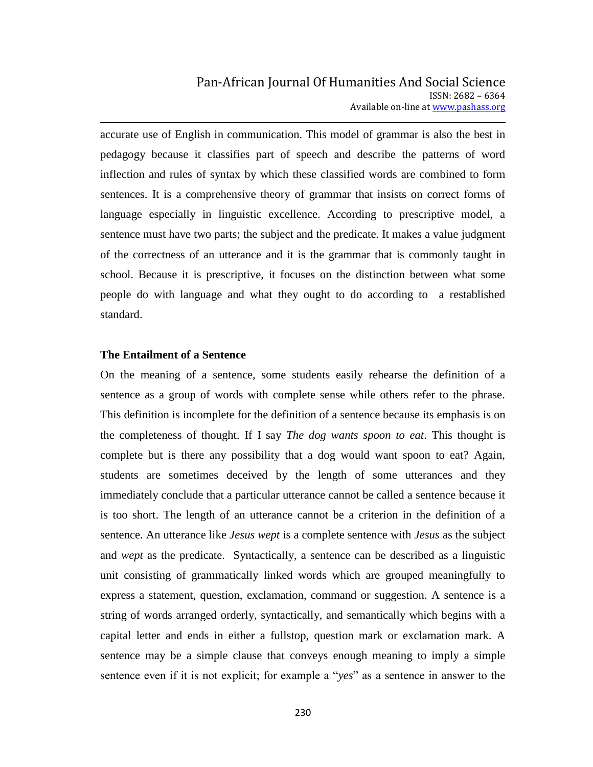accurate use of English in communication. This model of grammar is also the best in pedagogy because it classifies part of speech and describe the patterns of word inflection and rules of syntax by which these classified words are combined to form sentences. It is a comprehensive theory of grammar that insists on correct forms of language especially in linguistic excellence. According to prescriptive model, a sentence must have two parts; the subject and the predicate. It makes a value judgment of the correctness of an utterance and it is the grammar that is commonly taught in school. Because it is prescriptive, it focuses on the distinction between what some people do with language and what they ought to do according to a restablished standard.

#### **The Entailment of a Sentence**

On the meaning of a sentence, some students easily rehearse the definition of a sentence as a group of words with complete sense while others refer to the phrase. This definition is incomplete for the definition of a sentence because its emphasis is on the completeness of thought. If I say *The dog wants spoon to eat*. This thought is complete but is there any possibility that a dog would want spoon to eat? Again, students are sometimes deceived by the length of some utterances and they immediately conclude that a particular utterance cannot be called a sentence because it is too short. The length of an utterance cannot be a criterion in the definition of a sentence. An utterance like *Jesus wept* is a complete sentence with *Jesus* as the subject and *wept* as the predicate. Syntactically, a sentence can be described as a linguistic unit consisting of grammatically linked words which are grouped meaningfully to express a statement, question, exclamation, command or suggestion. A sentence is a string of words arranged orderly, syntactically, and semantically which begins with a capital letter and ends in either a fullstop, question mark or exclamation mark. A sentence may be a simple clause that conveys enough meaning to imply a simple sentence even if it is not explicit; for example a "*yes*" as a sentence in answer to the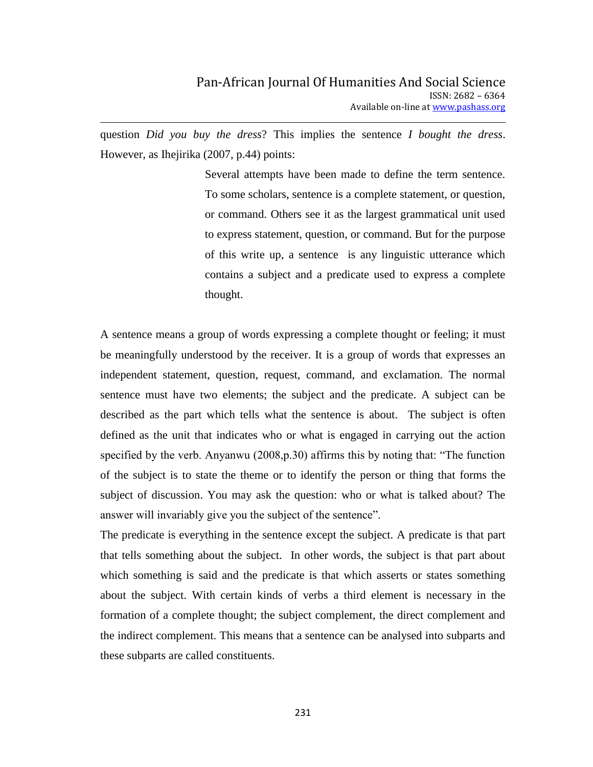question *Did you buy the dress*? This implies the sentence *I bought the dress*. However, as Ihejirika (2007, p.44) points:

> Several attempts have been made to define the term sentence. To some scholars, sentence is a complete statement, or question, or command. Others see it as the largest grammatical unit used to express statement, question, or command. But for the purpose of this write up, a sentence is any linguistic utterance which contains a subject and a predicate used to express a complete thought.

A sentence means a group of words expressing a complete thought or feeling; it must be meaningfully understood by the receiver. It is a group of words that expresses an independent statement, question, request, command, and exclamation. The normal sentence must have two elements; the subject and the predicate. A subject can be described as the part which tells what the sentence is about. The subject is often defined as the unit that indicates who or what is engaged in carrying out the action specified by the verb. Anyanwu (2008,p.30) affirms this by noting that: "The function of the subject is to state the theme or to identify the person or thing that forms the subject of discussion. You may ask the question: who or what is talked about? The answer will invariably give you the subject of the sentence".

The predicate is everything in the sentence except the subject. A predicate is that part that tells something about the subject. In other words, the subject is that part about which something is said and the predicate is that which asserts or states something about the subject. With certain kinds of verbs a third element is necessary in the formation of a complete thought; the subject complement, the direct complement and the indirect complement. This means that a sentence can be analysed into subparts and these subparts are called constituents.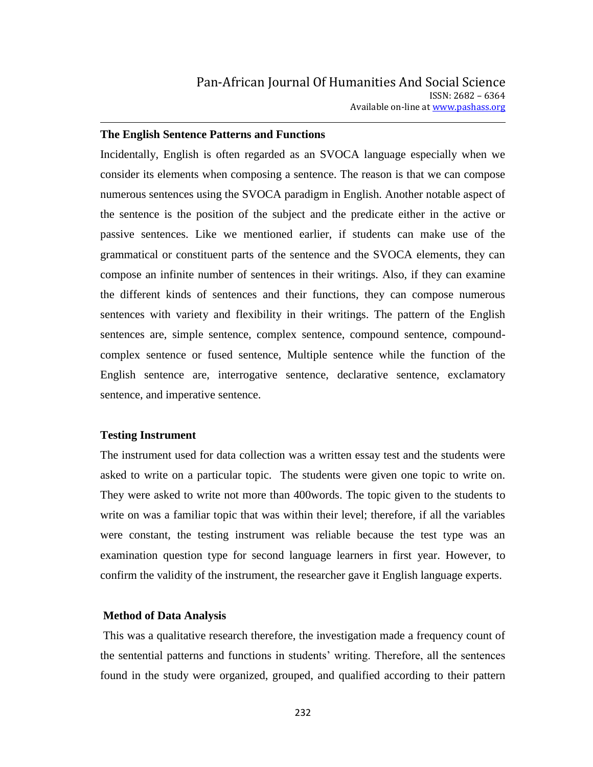### **The English Sentence Patterns and Functions**

Incidentally, English is often regarded as an SVOCA language especially when we consider its elements when composing a sentence. The reason is that we can compose numerous sentences using the SVOCA paradigm in English. Another notable aspect of the sentence is the position of the subject and the predicate either in the active or passive sentences. Like we mentioned earlier, if students can make use of the grammatical or constituent parts of the sentence and the SVOCA elements, they can compose an infinite number of sentences in their writings. Also, if they can examine the different kinds of sentences and their functions, they can compose numerous sentences with variety and flexibility in their writings. The pattern of the English sentences are, simple sentence, complex sentence, compound sentence, compoundcomplex sentence or fused sentence, Multiple sentence while the function of the English sentence are, interrogative sentence, declarative sentence, exclamatory sentence, and imperative sentence.

### **Testing Instrument**

The instrument used for data collection was a written essay test and the students were asked to write on a particular topic. The students were given one topic to write on. They were asked to write not more than 400words. The topic given to the students to write on was a familiar topic that was within their level; therefore, if all the variables were constant, the testing instrument was reliable because the test type was an examination question type for second language learners in first year. However, to confirm the validity of the instrument, the researcher gave it English language experts.

#### **Method of Data Analysis**

This was a qualitative research therefore, the investigation made a frequency count of the sentential patterns and functions in students" writing. Therefore, all the sentences found in the study were organized, grouped, and qualified according to their pattern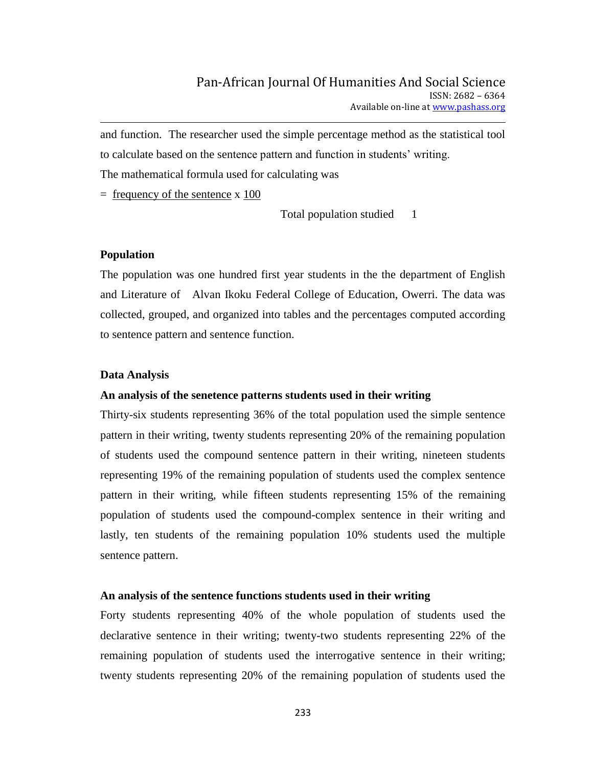and function. The researcher used the simple percentage method as the statistical tool to calculate based on the sentence pattern and function in students' writing. The mathematical formula used for calculating was

 $=$  frequency of the sentence x 100

Total population studied 1

### **Population**

The population was one hundred first year students in the the department of English and Literature of Alvan Ikoku Federal College of Education, Owerri. The data was collected, grouped, and organized into tables and the percentages computed according to sentence pattern and sentence function.

### **Data Analysis**

#### **An analysis of the senetence patterns students used in their writing**

Thirty-six students representing 36% of the total population used the simple sentence pattern in their writing, twenty students representing 20% of the remaining population of students used the compound sentence pattern in their writing, nineteen students representing 19% of the remaining population of students used the complex sentence pattern in their writing, while fifteen students representing 15% of the remaining population of students used the compound-complex sentence in their writing and lastly, ten students of the remaining population 10% students used the multiple sentence pattern.

#### **An analysis of the sentence functions students used in their writing**

Forty students representing 40% of the whole population of students used the declarative sentence in their writing; twenty-two students representing 22% of the remaining population of students used the interrogative sentence in their writing; twenty students representing 20% of the remaining population of students used the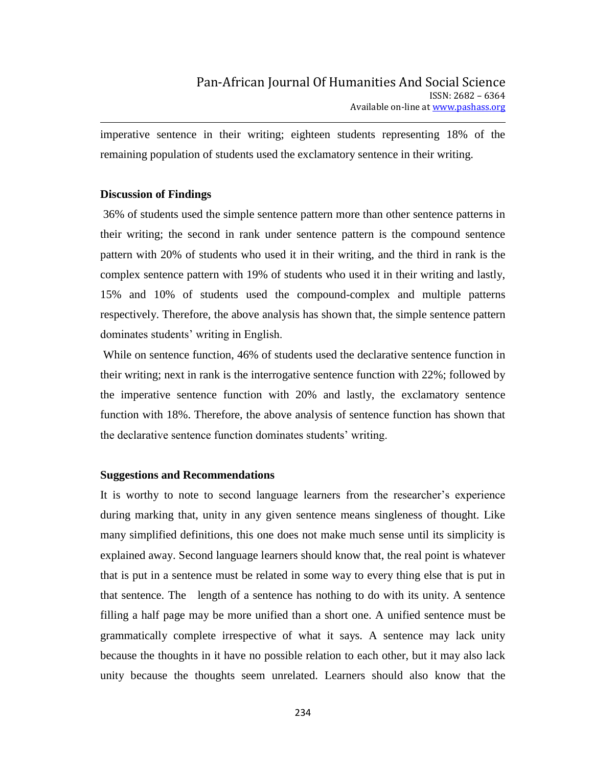imperative sentence in their writing; eighteen students representing 18% of the remaining population of students used the exclamatory sentence in their writing.

## **Discussion of Findings**

36% of students used the simple sentence pattern more than other sentence patterns in their writing; the second in rank under sentence pattern is the compound sentence pattern with 20% of students who used it in their writing, and the third in rank is the complex sentence pattern with 19% of students who used it in their writing and lastly, 15% and 10% of students used the compound-complex and multiple patterns respectively. Therefore, the above analysis has shown that, the simple sentence pattern dominates students" writing in English.

While on sentence function, 46% of students used the declarative sentence function in their writing; next in rank is the interrogative sentence function with 22%; followed by the imperative sentence function with 20% and lastly, the exclamatory sentence function with 18%. Therefore, the above analysis of sentence function has shown that the declarative sentence function dominates students" writing.

### **Suggestions and Recommendations**

It is worthy to note to second language learners from the researcher's experience during marking that, unity in any given sentence means singleness of thought. Like many simplified definitions, this one does not make much sense until its simplicity is explained away. Second language learners should know that, the real point is whatever that is put in a sentence must be related in some way to every thing else that is put in that sentence. The length of a sentence has nothing to do with its unity. A sentence filling a half page may be more unified than a short one. A unified sentence must be grammatically complete irrespective of what it says. A sentence may lack unity because the thoughts in it have no possible relation to each other, but it may also lack unity because the thoughts seem unrelated. Learners should also know that the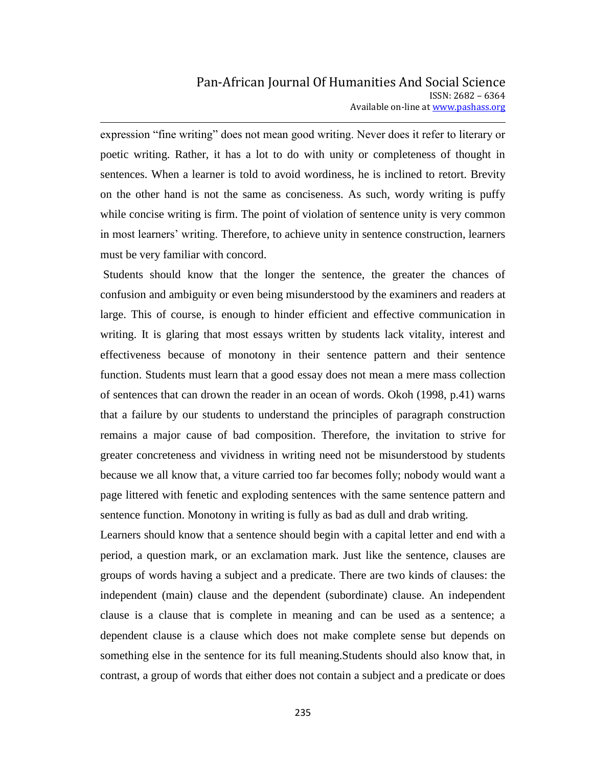expression "fine writing" does not mean good writing. Never does it refer to literary or poetic writing. Rather, it has a lot to do with unity or completeness of thought in sentences. When a learner is told to avoid wordiness, he is inclined to retort. Brevity on the other hand is not the same as conciseness. As such, wordy writing is puffy while concise writing is firm. The point of violation of sentence unity is very common in most learners' writing. Therefore, to achieve unity in sentence construction, learners must be very familiar with concord.

Students should know that the longer the sentence, the greater the chances of confusion and ambiguity or even being misunderstood by the examiners and readers at large. This of course, is enough to hinder efficient and effective communication in writing. It is glaring that most essays written by students lack vitality, interest and effectiveness because of monotony in their sentence pattern and their sentence function. Students must learn that a good essay does not mean a mere mass collection of sentences that can drown the reader in an ocean of words. Okoh (1998, p.41) warns that a failure by our students to understand the principles of paragraph construction remains a major cause of bad composition. Therefore, the invitation to strive for greater concreteness and vividness in writing need not be misunderstood by students because we all know that, a viture carried too far becomes folly; nobody would want a page littered with fenetic and exploding sentences with the same sentence pattern and sentence function. Monotony in writing is fully as bad as dull and drab writing.

Learners should know that a sentence should begin with a capital letter and end with a period, a question mark, or an exclamation mark. Just like the sentence, clauses are groups of words having a subject and a predicate. There are two kinds of clauses: the independent (main) clause and the dependent (subordinate) clause. An independent clause is a clause that is complete in meaning and can be used as a sentence; a dependent clause is a clause which does not make complete sense but depends on something else in the sentence for its full meaning.Students should also know that, in contrast, a group of words that either does not contain a subject and a predicate or does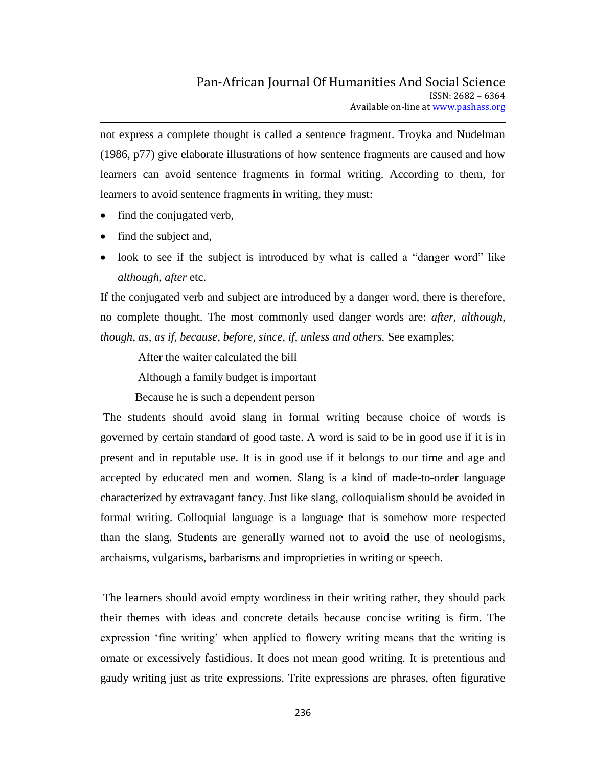not express a complete thought is called a sentence fragment. Troyka and Nudelman (1986, p77) give elaborate illustrations of how sentence fragments are caused and how learners can avoid sentence fragments in formal writing. According to them, for learners to avoid sentence fragments in writing, they must:

- find the conjugated verb,
- find the subject and,
- look to see if the subject is introduced by what is called a "danger word" like *although, after* etc.

If the conjugated verb and subject are introduced by a danger word, there is therefore, no complete thought. The most commonly used danger words are: *after, although, though, as, as if, because, before, since, if, unless and others.* See examples;

After the waiter calculated the bill

Although a family budget is important

Because he is such a dependent person

The students should avoid slang in formal writing because choice of words is governed by certain standard of good taste. A word is said to be in good use if it is in present and in reputable use. It is in good use if it belongs to our time and age and accepted by educated men and women. Slang is a kind of made-to-order language characterized by extravagant fancy. Just like slang, colloquialism should be avoided in formal writing. Colloquial language is a language that is somehow more respected than the slang. Students are generally warned not to avoid the use of neologisms, archaisms, vulgarisms, barbarisms and improprieties in writing or speech.

The learners should avoid empty wordiness in their writing rather, they should pack their themes with ideas and concrete details because concise writing is firm. The expression "fine writing" when applied to flowery writing means that the writing is ornate or excessively fastidious. It does not mean good writing. It is pretentious and gaudy writing just as trite expressions. Trite expressions are phrases, often figurative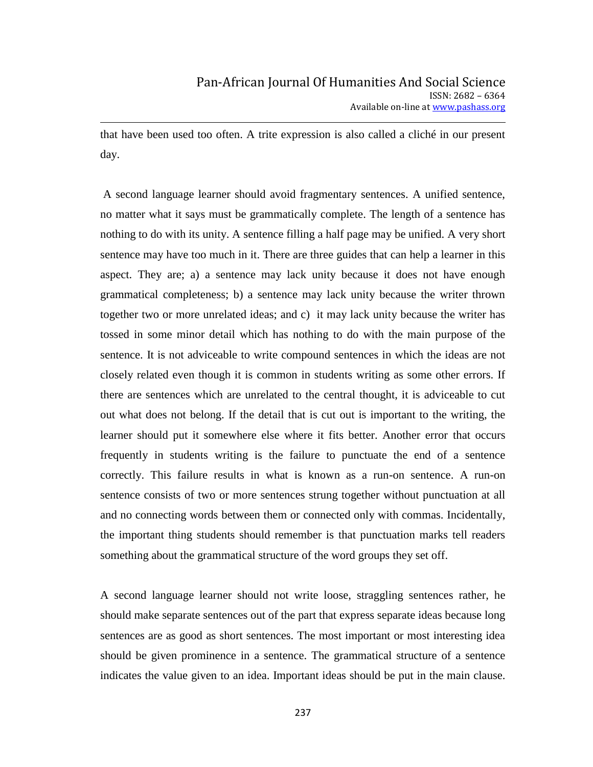that have been used too often. A trite expression is also called a cliché in our present day.

A second language learner should avoid fragmentary sentences. A unified sentence, no matter what it says must be grammatically complete. The length of a sentence has nothing to do with its unity. A sentence filling a half page may be unified. A very short sentence may have too much in it. There are three guides that can help a learner in this aspect. They are; a) a sentence may lack unity because it does not have enough grammatical completeness; b) a sentence may lack unity because the writer thrown together two or more unrelated ideas; and c) it may lack unity because the writer has tossed in some minor detail which has nothing to do with the main purpose of the sentence. It is not adviceable to write compound sentences in which the ideas are not closely related even though it is common in students writing as some other errors. If there are sentences which are unrelated to the central thought, it is adviceable to cut out what does not belong. If the detail that is cut out is important to the writing, the learner should put it somewhere else where it fits better. Another error that occurs frequently in students writing is the failure to punctuate the end of a sentence correctly. This failure results in what is known as a run-on sentence. A run-on sentence consists of two or more sentences strung together without punctuation at all and no connecting words between them or connected only with commas. Incidentally, the important thing students should remember is that punctuation marks tell readers something about the grammatical structure of the word groups they set off.

A second language learner should not write loose, straggling sentences rather, he should make separate sentences out of the part that express separate ideas because long sentences are as good as short sentences. The most important or most interesting idea should be given prominence in a sentence. The grammatical structure of a sentence indicates the value given to an idea. Important ideas should be put in the main clause.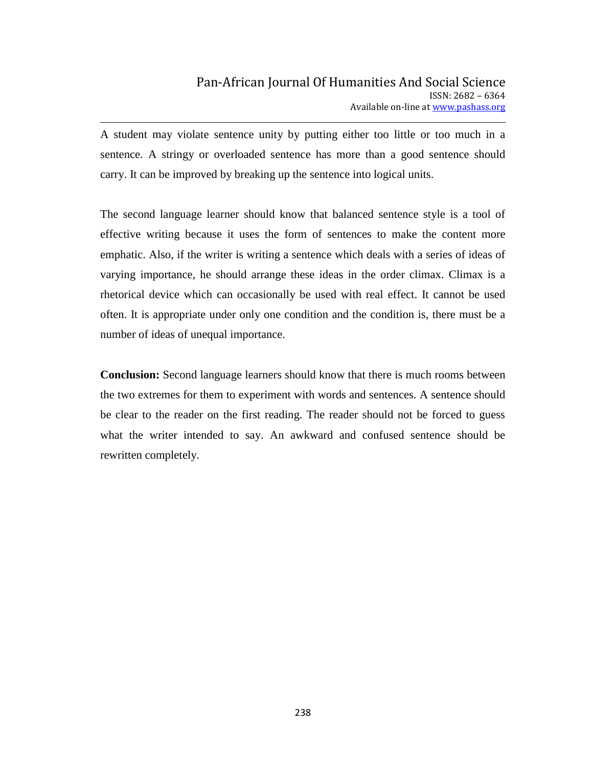A student may violate sentence unity by putting either too little or too much in a sentence. A stringy or overloaded sentence has more than a good sentence should carry. It can be improved by breaking up the sentence into logical units.

The second language learner should know that balanced sentence style is a tool of effective writing because it uses the form of sentences to make the content more emphatic. Also, if the writer is writing a sentence which deals with a series of ideas of varying importance, he should arrange these ideas in the order climax. Climax is a rhetorical device which can occasionally be used with real effect. It cannot be used often. It is appropriate under only one condition and the condition is, there must be a number of ideas of unequal importance.

**Conclusion:** Second language learners should know that there is much rooms between the two extremes for them to experiment with words and sentences. A sentence should be clear to the reader on the first reading. The reader should not be forced to guess what the writer intended to say. An awkward and confused sentence should be rewritten completely.